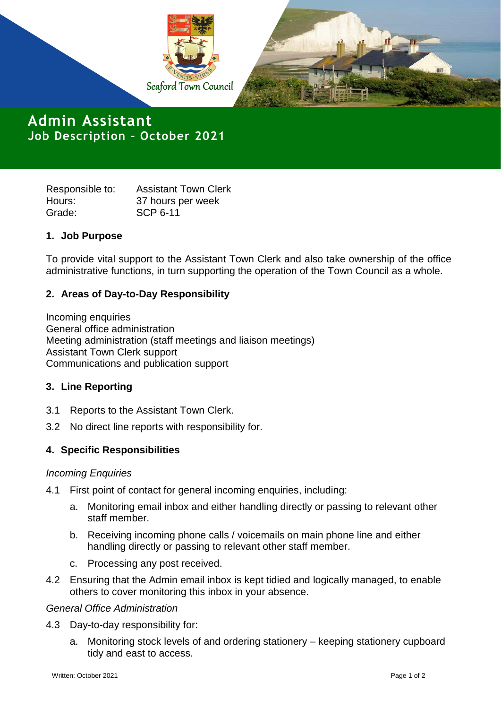

**Admin Assistant Job Description – October 2021**

Responsible to: Assistant Town Clerk Hours: 37 hours per week Grade: SCP 6-11

# **1. Job Purpose**

To provide vital support to the Assistant Town Clerk and also take ownership of the office administrative functions, in turn supporting the operation of the Town Council as a whole.

# **2. Areas of Day-to-Day Responsibility**

Incoming enquiries General office administration Meeting administration (staff meetings and liaison meetings) Assistant Town Clerk support Communications and publication support

### **3. Line Reporting**

- 3.1 Reports to the Assistant Town Clerk.
- 3.2 No direct line reports with responsibility for.

# **4. Specific Responsibilities**

### *Incoming Enquiries*

- 4.1 First point of contact for general incoming enquiries, including:
	- a. Monitoring email inbox and either handling directly or passing to relevant other staff member.
	- b. Receiving incoming phone calls / voicemails on main phone line and either handling directly or passing to relevant other staff member.
	- c. Processing any post received.
- 4.2 Ensuring that the Admin email inbox is kept tidied and logically managed, to enable others to cover monitoring this inbox in your absence.

### *General Office Administration*

- 4.3 Day-to-day responsibility for:
	- a. Monitoring stock levels of and ordering stationery keeping stationery cupboard tidy and east to access.